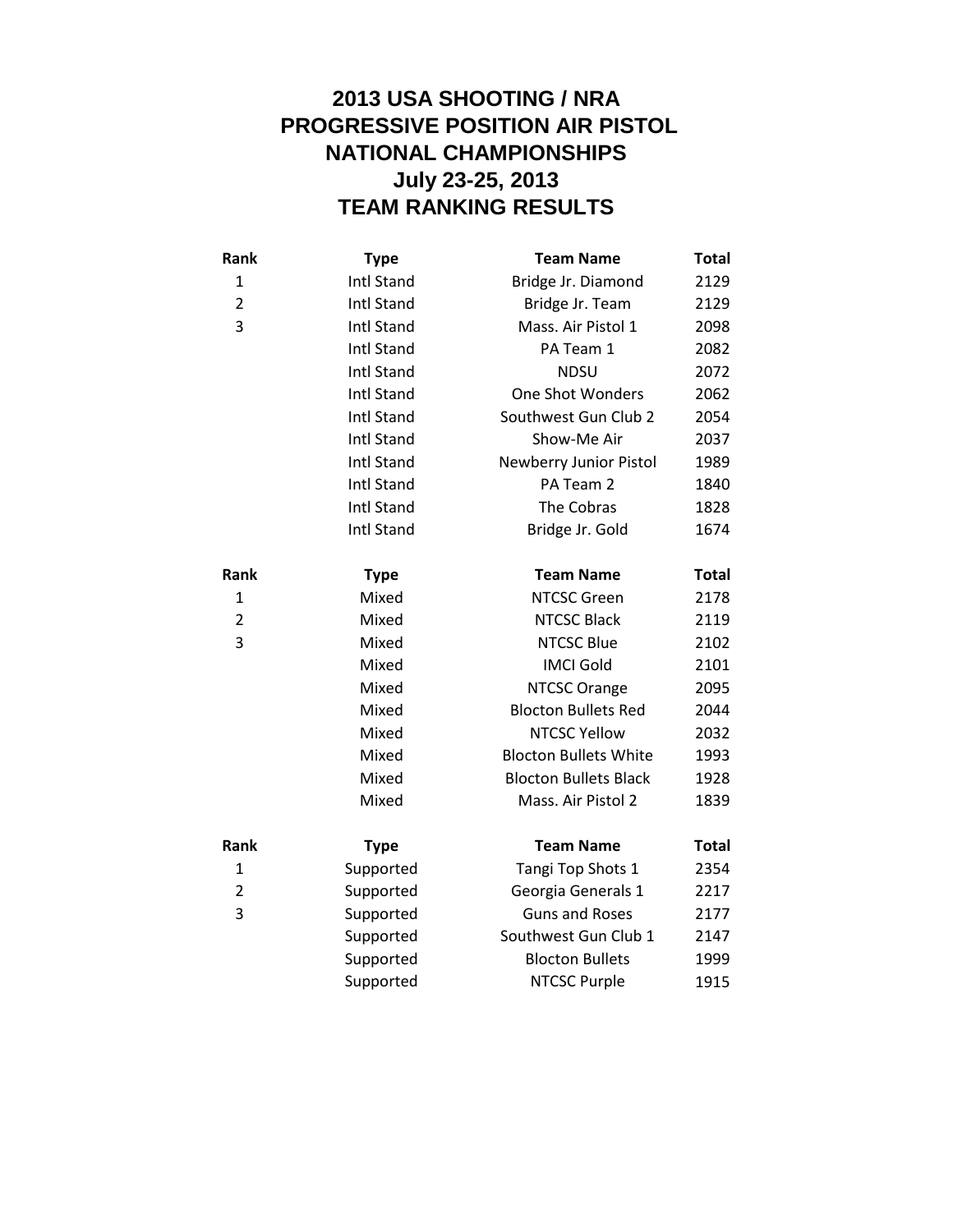## **2013 USA SHOOTING / NRA PROGRESSIVE POSITION AIR PISTOL NATIONAL CHAMPIONSHIPS July 23-25, 2013 TEAM RANKING RESULTS**

| Rank           | <b>Type</b>       | <b>Team Name</b>             | <b>Total</b> |
|----------------|-------------------|------------------------------|--------------|
| 1              | <b>Intl Stand</b> | Bridge Jr. Diamond           | 2129         |
| $\overline{2}$ | <b>Intl Stand</b> | Bridge Jr. Team              | 2129         |
| 3              | <b>Intl Stand</b> | Mass. Air Pistol 1           | 2098         |
|                | Intl Stand        | PA Team 1                    | 2082         |
|                | <b>Intl Stand</b> | <b>NDSU</b>                  | 2072         |
|                | Intl Stand        | One Shot Wonders             | 2062         |
|                | <b>Intl Stand</b> | Southwest Gun Club 2         | 2054         |
|                | <b>Intl Stand</b> | Show-Me Air                  | 2037         |
|                | <b>Intl Stand</b> | Newberry Junior Pistol       | 1989         |
|                | <b>Intl Stand</b> | PA Team 2                    | 1840         |
|                | <b>Intl Stand</b> | The Cobras                   | 1828         |
|                | <b>Intl Stand</b> | Bridge Jr. Gold              | 1674         |
| Rank           | <b>Type</b>       | <b>Team Name</b>             | <b>Total</b> |
| 1              | Mixed             | <b>NTCSC Green</b>           | 2178         |
| $\overline{2}$ | Mixed             | <b>NTCSC Black</b>           | 2119         |
| 3              | Mixed             | <b>NTCSC Blue</b>            | 2102         |
|                | Mixed             | <b>IMCI Gold</b>             | 2101         |
|                | Mixed             | <b>NTCSC Orange</b>          | 2095         |
|                | Mixed             | <b>Blocton Bullets Red</b>   | 2044         |
|                | Mixed             | <b>NTCSC Yellow</b>          | 2032         |
|                | Mixed             | <b>Blocton Bullets White</b> | 1993         |
|                | Mixed             | <b>Blocton Bullets Black</b> | 1928         |
|                | Mixed             | Mass. Air Pistol 2           | 1839         |
| Rank           | <b>Type</b>       | <b>Team Name</b>             | <b>Total</b> |
| 1              | Supported         | Tangi Top Shots 1            | 2354         |
| $\overline{2}$ | Supported         | Georgia Generals 1           | 2217         |
| 3              | Supported         | <b>Guns and Roses</b>        | 2177         |
|                | Supported         | Southwest Gun Club 1         | 2147         |
|                | Supported         | <b>Blocton Bullets</b>       | 1999         |
|                | Supported         | <b>NTCSC Purple</b>          | 1915         |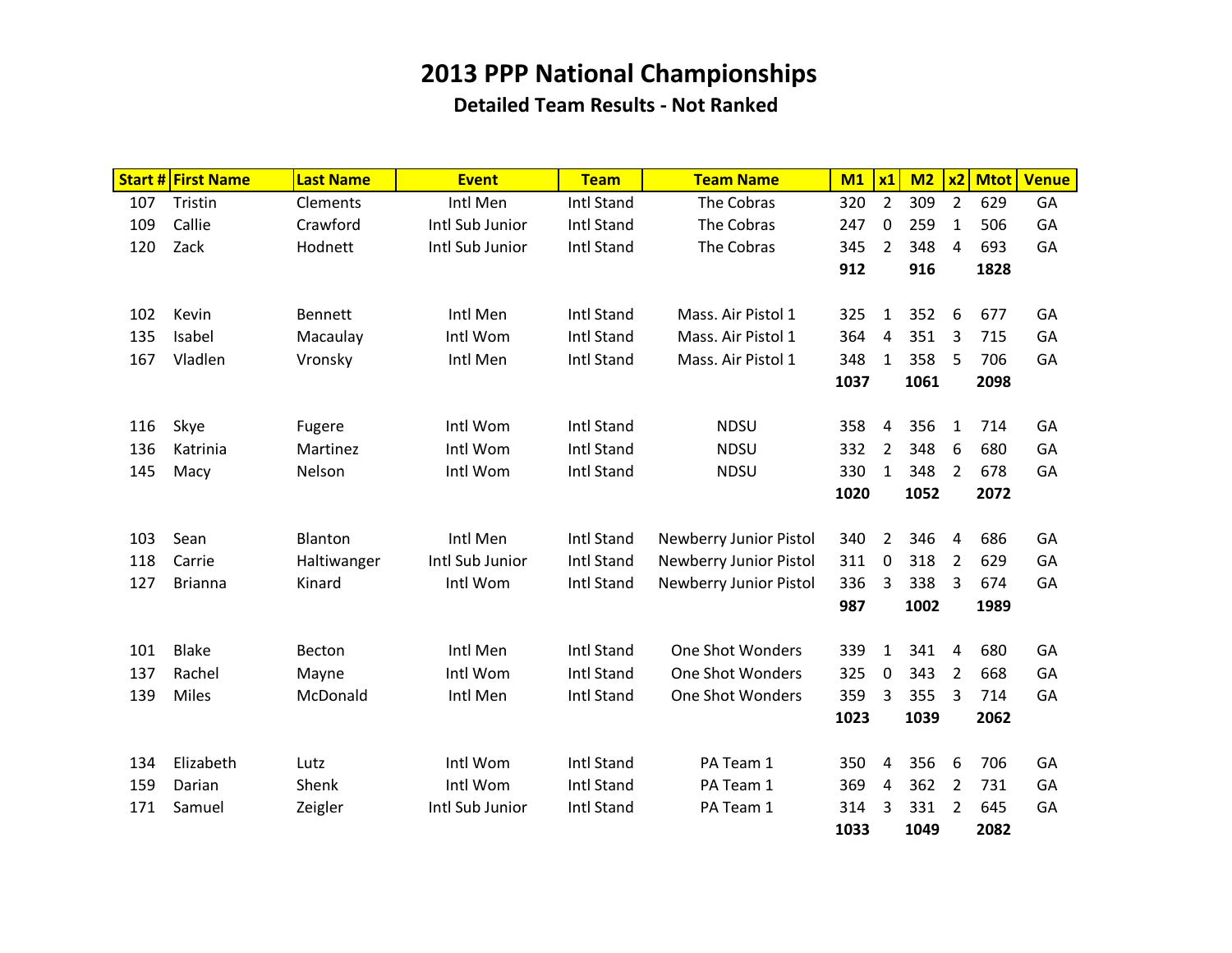|     | <b>Start # First Name</b> | <b>Last Name</b> | <b>Event</b>    | <b>Team</b>       | <b>Team Name</b>       | M1   | x1             | M <sub>2</sub> | x <sub>2</sub> | <b>Mtot</b> | <b>Venue</b> |
|-----|---------------------------|------------------|-----------------|-------------------|------------------------|------|----------------|----------------|----------------|-------------|--------------|
| 107 | Tristin                   | Clements         | Intl Men        | Intl Stand        | The Cobras             | 320  | $\overline{2}$ | 309            | $\overline{2}$ | 629         | GA           |
| 109 | Callie                    | Crawford         | Intl Sub Junior | <b>Intl Stand</b> | The Cobras             | 247  | 0              | 259            | 1              | 506         | GA           |
| 120 | Zack                      | Hodnett          | Intl Sub Junior | <b>Intl Stand</b> | The Cobras             | 345  | $\overline{2}$ | 348            | 4              | 693         | GA           |
|     |                           |                  |                 |                   |                        | 912  |                | 916            |                | 1828        |              |
|     |                           |                  |                 |                   |                        |      |                |                |                |             |              |
| 102 | Kevin                     | <b>Bennett</b>   | Intl Men        | Intl Stand        | Mass. Air Pistol 1     | 325  | 1              | 352            | 6              | 677         | GA           |
| 135 | Isabel                    | Macaulay         | Intl Wom        | Intl Stand        | Mass. Air Pistol 1     | 364  | $\overline{4}$ | 351            | 3              | 715         | GA           |
| 167 | Vladlen                   | Vronsky          | Intl Men        | <b>Intl Stand</b> | Mass. Air Pistol 1     | 348  | $\mathbf{1}$   | 358            | 5              | 706         | GA           |
|     |                           |                  |                 |                   |                        | 1037 |                | 1061           |                | 2098        |              |
|     |                           |                  |                 |                   |                        |      |                |                |                |             |              |
| 116 | Skye                      | Fugere           | Intl Wom        | <b>Intl Stand</b> | <b>NDSU</b>            | 358  | 4              | 356            | 1              | 714         | GA           |
| 136 | Katrinia                  | Martinez         | Intl Wom        | <b>Intl Stand</b> | <b>NDSU</b>            | 332  | $\overline{2}$ | 348            | 6              | 680         | GA           |
| 145 | Macy                      | Nelson           | Intl Wom        | <b>Intl Stand</b> | <b>NDSU</b>            | 330  | $\mathbf{1}$   | 348            | 2              | 678         | GA           |
|     |                           |                  |                 |                   |                        | 1020 |                | 1052           |                | 2072        |              |
|     |                           |                  |                 |                   |                        |      |                |                |                |             |              |
| 103 | Sean                      | Blanton          | Intl Men        | Intl Stand        | Newberry Junior Pistol | 340  | $\overline{2}$ | 346            | 4              | 686         | GA           |
| 118 | Carrie                    | Haltiwanger      | Intl Sub Junior | <b>Intl Stand</b> | Newberry Junior Pistol | 311  | $\pmb{0}$      | 318            | $\overline{2}$ | 629         | GA           |
| 127 | <b>Brianna</b>            | Kinard           | Intl Wom        | Intl Stand        | Newberry Junior Pistol | 336  | 3              | 338            | 3              | 674         | GA           |
|     |                           |                  |                 |                   |                        | 987  |                | 1002           |                | 1989        |              |
|     |                           |                  |                 |                   |                        |      |                |                |                |             |              |
| 101 | <b>Blake</b>              | Becton           | Intl Men        | <b>Intl Stand</b> | One Shot Wonders       | 339  | $\mathbf{1}$   | 341            | 4              | 680         | GA           |
| 137 | Rachel                    | Mayne            | Intl Wom        | Intl Stand        | One Shot Wonders       | 325  | 0              | 343            | 2              | 668         | GA           |
| 139 | Miles                     | McDonald         | Intl Men        | Intl Stand        | One Shot Wonders       | 359  | 3              | 355            | 3              | 714         | GA           |
|     |                           |                  |                 |                   |                        | 1023 |                | 1039           |                | 2062        |              |
|     |                           |                  |                 |                   |                        |      |                |                |                |             |              |
| 134 | Elizabeth                 | Lutz             | Intl Wom        | <b>Intl Stand</b> | PA Team 1              | 350  | 4              | 356            | 6              | 706         | GA           |
| 159 | Darian                    | Shenk            | Intl Wom        | Intl Stand        | PA Team 1              | 369  | $\overline{4}$ | 362            | 2              | 731         | GA           |
| 171 | Samuel                    | Zeigler          | Intl Sub Junior | Intl Stand        | PA Team 1              | 314  | 3              | 331            | 2              | 645         | GA           |
|     |                           |                  |                 |                   |                        | 1033 |                | 1049           |                | 2082        |              |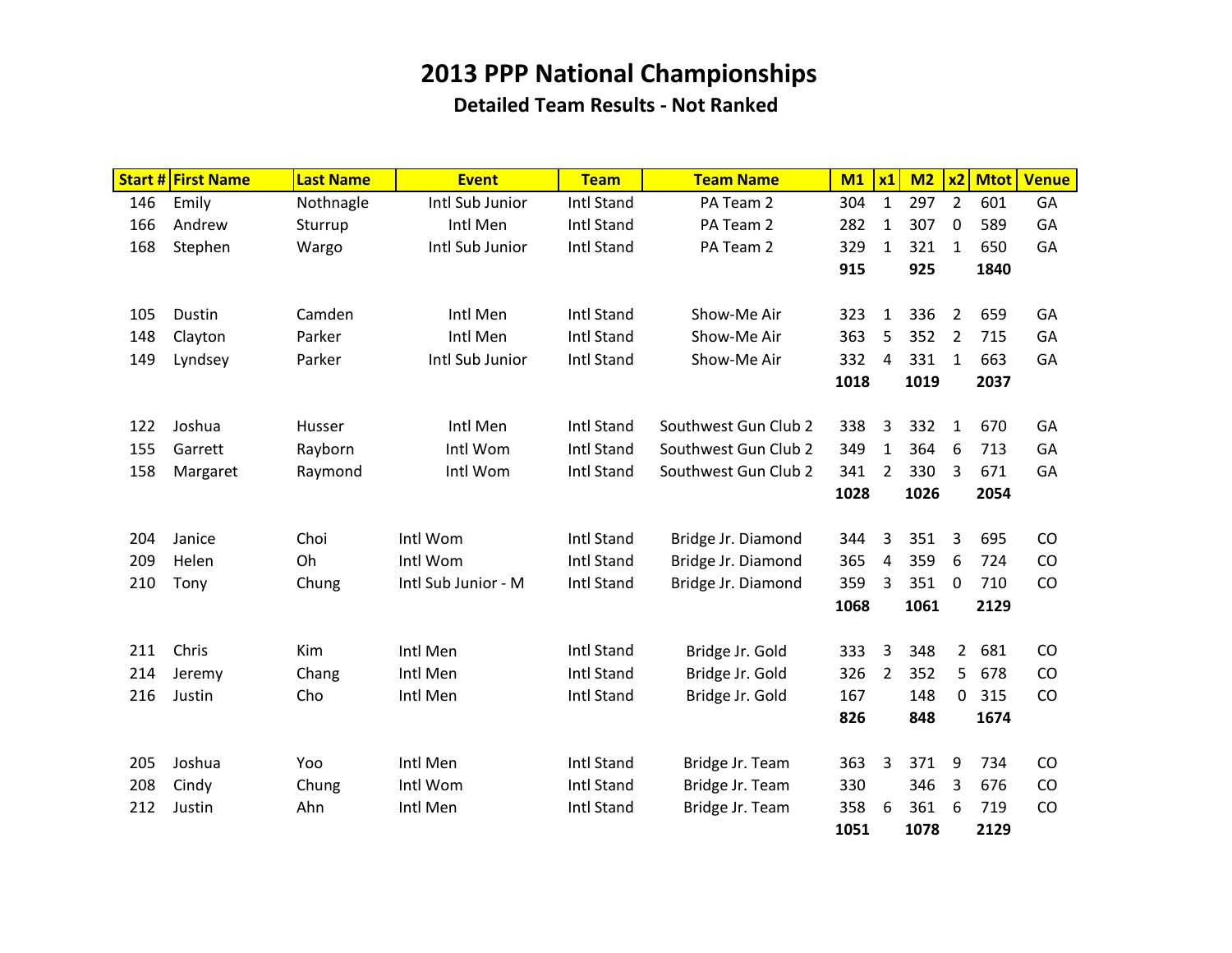|     | <b>Start # First Name</b> | <b>Last Name</b> | <b>Event</b>        | <b>Team</b>       | <b>Team Name</b>     | M1   | x1             | M <sub>2</sub> | x <sub>2</sub> | <b>Mtot</b> | <b>Venue</b> |
|-----|---------------------------|------------------|---------------------|-------------------|----------------------|------|----------------|----------------|----------------|-------------|--------------|
| 146 | Emily                     | Nothnagle        | Intl Sub Junior     | Intl Stand        | PA Team 2            | 304  | $\mathbf{1}$   | 297            | $\overline{2}$ | 601         | GA           |
| 166 | Andrew                    | Sturrup          | Intl Men            | Intl Stand        | PA Team 2            | 282  | $\mathbf{1}$   | 307            | 0              | 589         | GA           |
| 168 | Stephen                   | Wargo            | Intl Sub Junior     | Intl Stand        | PA Team 2            | 329  | $\mathbf{1}$   | 321            | 1              | 650         | GA           |
|     |                           |                  |                     |                   |                      | 915  |                | 925            |                | 1840        |              |
|     |                           |                  |                     |                   |                      |      |                |                |                |             |              |
| 105 | Dustin                    | Camden           | Intl Men            | <b>Intl Stand</b> | Show-Me Air          | 323  | $\mathbf{1}$   | 336            | $\overline{2}$ | 659         | GA           |
| 148 | Clayton                   | Parker           | Intl Men            | Intl Stand        | Show-Me Air          | 363  | 5              | 352            | 2              | 715         | GA           |
| 149 | Lyndsey                   | Parker           | Intl Sub Junior     | <b>Intl Stand</b> | Show-Me Air          | 332  | $\overline{4}$ | 331            | 1              | 663         | GA           |
|     |                           |                  |                     |                   |                      | 1018 |                | 1019           |                | 2037        |              |
|     |                           |                  |                     |                   |                      |      |                |                |                |             |              |
| 122 | Joshua                    | Husser           | Intl Men            | Intl Stand        | Southwest Gun Club 2 | 338  | 3              | 332            | 1              | 670         | GA           |
| 155 | Garrett                   | Rayborn          | Intl Wom            | Intl Stand        | Southwest Gun Club 2 | 349  | $\mathbf{1}$   | 364            | 6              | 713         | GA           |
| 158 | Margaret                  | Raymond          | Intl Wom            | Intl Stand        | Southwest Gun Club 2 | 341  | $\overline{2}$ | 330            | 3              | 671         | GA           |
|     |                           |                  |                     |                   |                      | 1028 |                | 1026           |                | 2054        |              |
|     |                           |                  |                     |                   |                      |      |                |                |                |             |              |
| 204 | Janice                    | Choi             | Intl Wom            | Intl Stand        | Bridge Jr. Diamond   | 344  | 3              | 351            | 3              | 695         | CO           |
| 209 | Helen                     | Oh               | Intl Wom            | Intl Stand        | Bridge Jr. Diamond   | 365  | $\overline{4}$ | 359            | 6              | 724         | CO           |
| 210 | Tony                      | Chung            | Intl Sub Junior - M | Intl Stand        | Bridge Jr. Diamond   | 359  | 3              | 351            | 0              | 710         | CO           |
|     |                           |                  |                     |                   |                      | 1068 |                | 1061           |                | 2129        |              |
|     |                           |                  |                     |                   |                      |      |                |                |                |             |              |
| 211 | Chris                     | Kim              | Intl Men            | Intl Stand        | Bridge Jr. Gold      | 333  | $\overline{3}$ | 348            | $2^{\circ}$    | 681         | CO           |
| 214 | Jeremy                    | Chang            | Intl Men            | <b>Intl Stand</b> | Bridge Jr. Gold      | 326  | $\overline{2}$ | 352            | 5              | 678         | CO           |
| 216 | Justin                    | Cho              | Intl Men            | Intl Stand        | Bridge Jr. Gold      | 167  |                | 148            | $\mathbf{0}$   | 315         | CO           |
|     |                           |                  |                     |                   |                      | 826  |                | 848            |                | 1674        |              |
|     |                           |                  |                     |                   |                      |      |                |                |                |             |              |
| 205 | Joshua                    | Yoo              | Intl Men            | <b>Intl Stand</b> | Bridge Jr. Team      | 363  | 3              | 371            | 9              | 734         | CO           |
| 208 | Cindy                     | Chung            | Intl Wom            | Intl Stand        | Bridge Jr. Team      | 330  |                | 346            | 3              | 676         | CO           |
| 212 | Justin                    | Ahn              | Intl Men            | Intl Stand        | Bridge Jr. Team      | 358  | 6              | 361            | 6              | 719         | CO           |
|     |                           |                  |                     |                   |                      | 1051 |                | 1078           |                | 2129        |              |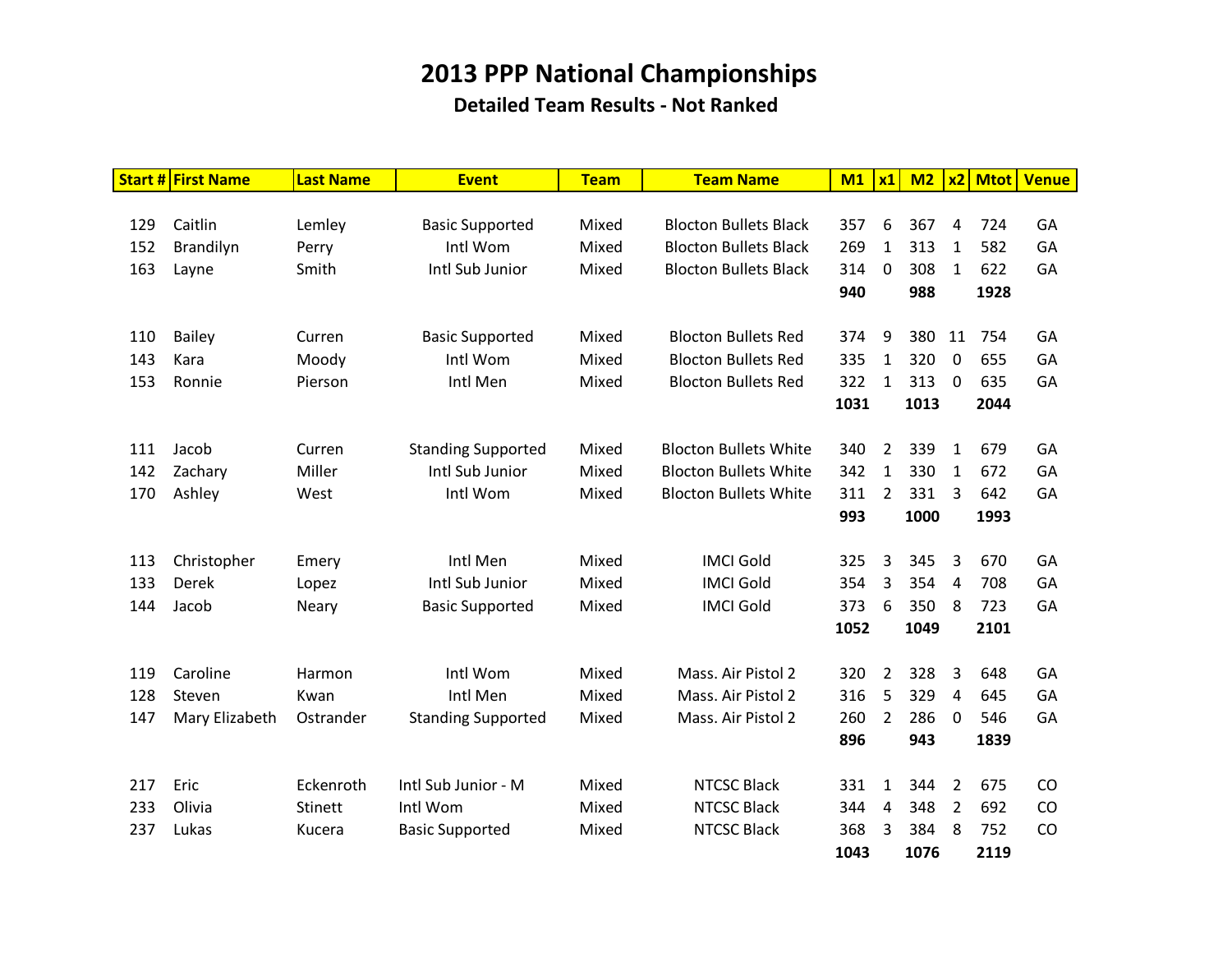|     | <b>Start # First Name</b> | Last Name      | <b>Event</b>              | <b>Team</b> | <b>Team Name</b>             | M1   | x1             | M2   |                | x2 Mtot | <b>Venue</b> |
|-----|---------------------------|----------------|---------------------------|-------------|------------------------------|------|----------------|------|----------------|---------|--------------|
|     |                           |                |                           |             |                              |      |                |      |                |         |              |
| 129 | Caitlin                   | Lemley         | <b>Basic Supported</b>    | Mixed       | <b>Blocton Bullets Black</b> | 357  | 6              | 367  | 4              | 724     | GA           |
| 152 | Brandilyn                 | Perry          | Intl Wom                  | Mixed       | <b>Blocton Bullets Black</b> | 269  | $\mathbf{1}$   | 313  | 1              | 582     | GA           |
| 163 | Layne                     | Smith          | Intl Sub Junior           | Mixed       | <b>Blocton Bullets Black</b> | 314  | $\mathbf 0$    | 308  | 1              | 622     | GA           |
|     |                           |                |                           |             |                              | 940  |                | 988  |                | 1928    |              |
|     |                           |                |                           |             |                              |      |                |      |                |         |              |
| 110 | <b>Bailey</b>             | Curren         | <b>Basic Supported</b>    | Mixed       | <b>Blocton Bullets Red</b>   | 374  | 9              | 380  | 11             | 754     | GA           |
| 143 | Kara                      | Moody          | Intl Wom                  | Mixed       | <b>Blocton Bullets Red</b>   | 335  | $\mathbf{1}$   | 320  | $\mathbf 0$    | 655     | GA           |
| 153 | Ronnie                    | Pierson        | Intl Men                  | Mixed       | <b>Blocton Bullets Red</b>   | 322  | $\mathbf{1}$   | 313  | $\mathbf 0$    | 635     | GA           |
|     |                           |                |                           |             |                              | 1031 |                | 1013 |                | 2044    |              |
|     |                           |                |                           |             |                              |      |                |      |                |         |              |
| 111 | Jacob                     | Curren         | <b>Standing Supported</b> | Mixed       | <b>Blocton Bullets White</b> | 340  | $\overline{2}$ | 339  | $\mathbf{1}$   | 679     | GA           |
| 142 | Zachary                   | Miller         | Intl Sub Junior           | Mixed       | <b>Blocton Bullets White</b> | 342  | $\mathbf{1}$   | 330  | 1              | 672     | GA           |
| 170 | Ashley                    | West           | Intl Wom                  | Mixed       | <b>Blocton Bullets White</b> | 311  | $\overline{2}$ | 331  | 3              | 642     | GA           |
|     |                           |                |                           |             |                              | 993  |                | 1000 |                | 1993    |              |
|     |                           |                |                           |             |                              |      |                |      |                |         |              |
| 113 | Christopher               | Emery          | Intl Men                  | Mixed       | <b>IMCI Gold</b>             | 325  | 3              | 345  | 3              | 670     | GA           |
| 133 | Derek                     | Lopez          | Intl Sub Junior           | Mixed       | <b>IMCI Gold</b>             | 354  | 3              | 354  | 4              | 708     | GA           |
| 144 | Jacob                     | Neary          | <b>Basic Supported</b>    | Mixed       | <b>IMCI Gold</b>             | 373  | 6              | 350  | 8              | 723     | GA           |
|     |                           |                |                           |             |                              | 1052 |                | 1049 |                | 2101    |              |
|     |                           |                |                           |             |                              |      |                |      |                |         |              |
| 119 | Caroline                  | Harmon         | Intl Wom                  | Mixed       | Mass. Air Pistol 2           | 320  | $\overline{2}$ | 328  | 3              | 648     | GA           |
| 128 | Steven                    | Kwan           | Intl Men                  | Mixed       | Mass. Air Pistol 2           | 316  | 5              | 329  | $\overline{4}$ | 645     | GA           |
| 147 | Mary Elizabeth            | Ostrander      | <b>Standing Supported</b> | Mixed       | Mass. Air Pistol 2           | 260  | $\overline{2}$ | 286  | $\Omega$       | 546     | GA           |
|     |                           |                |                           |             |                              | 896  |                | 943  |                | 1839    |              |
|     |                           |                |                           |             |                              |      |                |      |                |         |              |
| 217 | Eric                      | Eckenroth      | Intl Sub Junior - M       | Mixed       | <b>NTCSC Black</b>           | 331  | $\mathbf{1}$   | 344  | $\overline{2}$ | 675     | CO           |
| 233 | Olivia                    | <b>Stinett</b> | Intl Wom                  | Mixed       | <b>NTCSC Black</b>           | 344  | $\overline{4}$ | 348  | $\overline{2}$ | 692     | CO           |
| 237 | Lukas                     | Kucera         | <b>Basic Supported</b>    | Mixed       | <b>NTCSC Black</b>           | 368  | 3              | 384  | 8              | 752     | CO           |
|     |                           |                |                           |             |                              | 1043 |                | 1076 |                | 2119    |              |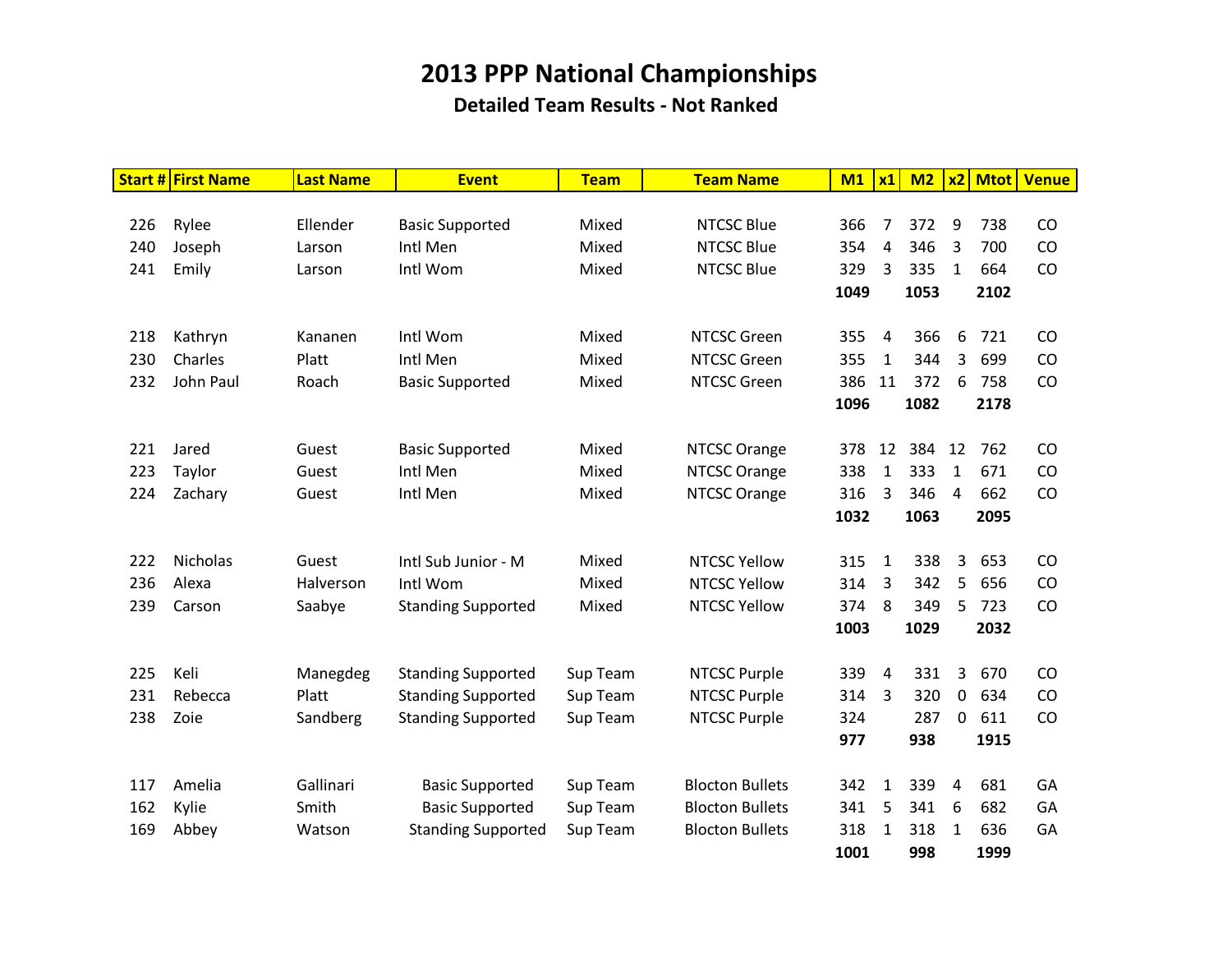|     | <b>Start # First Name</b> | <b>Last Name</b> | <b>Event</b>              | <b>Team</b> | <b>Team Name</b>       | M1   | x1             | M <sub>2</sub> | x2           | <b>Mtot</b> | <b>Venue</b> |
|-----|---------------------------|------------------|---------------------------|-------------|------------------------|------|----------------|----------------|--------------|-------------|--------------|
|     |                           |                  |                           |             |                        |      |                |                |              |             |              |
| 226 | Rylee                     | Ellender         | <b>Basic Supported</b>    | Mixed       | <b>NTCSC Blue</b>      | 366  | 7              | 372            | 9            | 738         | CO           |
| 240 | Joseph                    | Larson           | Intl Men                  | Mixed       | <b>NTCSC Blue</b>      | 354  | 4              | 346            | 3            | 700         | CO           |
| 241 | Emily                     | Larson           | Intl Wom                  | Mixed       | <b>NTCSC Blue</b>      | 329  | 3              | 335            | $\mathbf{1}$ | 664         | CO           |
|     |                           |                  |                           |             |                        | 1049 |                | 1053           |              | 2102        |              |
|     |                           |                  |                           |             |                        |      |                |                |              |             |              |
| 218 | Kathryn                   | Kananen          | Intl Wom                  | Mixed       | <b>NTCSC Green</b>     | 355  | 4              | 366            | 6            | 721         | <b>CO</b>    |
| 230 | Charles                   | Platt            | Intl Men                  | Mixed       | <b>NTCSC Green</b>     | 355  | $\mathbf{1}$   | 344            | 3            | 699         | CO           |
| 232 | John Paul                 | Roach            | <b>Basic Supported</b>    | Mixed       | <b>NTCSC Green</b>     | 386  | 11             | 372            | 6            | 758         | CO           |
|     |                           |                  |                           |             |                        | 1096 |                | 1082           |              | 2178        |              |
|     |                           |                  |                           |             |                        |      |                |                |              |             |              |
| 221 | Jared                     | Guest            | <b>Basic Supported</b>    | Mixed       | NTCSC Orange           | 378  | 12             | 384 12         |              | 762         | CO           |
| 223 | Taylor                    | Guest            | Intl Men                  | Mixed       | NTCSC Orange           | 338  | $\mathbf{1}$   | 333            | $\mathbf{1}$ | 671         | CO           |
| 224 | Zachary                   | Guest            | Intl Men                  | Mixed       | NTCSC Orange           | 316  | 3              | 346            | 4            | 662         | CO           |
|     |                           |                  |                           |             |                        | 1032 |                | 1063           |              | 2095        |              |
| 222 | <b>Nicholas</b>           | Guest            | Intl Sub Junior - M       | Mixed       | <b>NTCSC Yellow</b>    | 315  | $\mathbf 1$    | 338            | 3            | 653         | CO           |
| 236 | Alexa                     |                  |                           | Mixed       | <b>NTCSC Yellow</b>    | 314  | $\overline{3}$ | 342            |              | 656         | CO           |
|     |                           | Halverson        | Intl Wom                  |             |                        | 374  | 8              |                | 5            | 723         |              |
| 239 | Carson                    | Saabye           | <b>Standing Supported</b> | Mixed       | <b>NTCSC Yellow</b>    |      |                | 349            | 5            | 2032        | CO           |
|     |                           |                  |                           |             |                        | 1003 |                | 1029           |              |             |              |
| 225 | Keli                      | Manegdeg         | <b>Standing Supported</b> | Sup Team    | <b>NTCSC Purple</b>    | 339  | 4              | 331            | 3            | 670         | CO           |
| 231 | Rebecca                   | Platt            | <b>Standing Supported</b> | Sup Team    | <b>NTCSC Purple</b>    | 314  | $\overline{3}$ | 320            | $\mathbf 0$  | 634         | CO           |
| 238 | Zoie                      | Sandberg         | <b>Standing Supported</b> | Sup Team    | <b>NTCSC Purple</b>    | 324  |                | 287            | $\mathbf{0}$ | 611         | CO           |
|     |                           |                  |                           |             |                        | 977  |                | 938            |              | 1915        |              |
|     |                           |                  |                           |             |                        |      |                |                |              |             |              |
| 117 | Amelia                    | Gallinari        | <b>Basic Supported</b>    | Sup Team    | <b>Blocton Bullets</b> | 342  | 1              | 339            | 4            | 681         | GA           |
| 162 | Kylie                     | Smith            | <b>Basic Supported</b>    | Sup Team    | <b>Blocton Bullets</b> | 341  | 5              | 341            | 6            | 682         | GA           |
| 169 | Abbey                     | Watson           | <b>Standing Supported</b> | Sup Team    | <b>Blocton Bullets</b> | 318  | $\mathbf{1}$   | 318            | 1            | 636         | GA           |
|     |                           |                  |                           |             |                        | 1001 |                | 998            |              | 1999        |              |